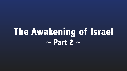# **The Awakening of Israel ~ Part 2 ~**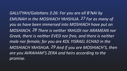GALUTYAH/Galatians 3:26: For you are all B'NAI by EMUNAH in the MOSHIACH YAHSHUA. 27 For as many of *you as have been immersed into MOSHIACH have put on*  MOSHIACH. 28 There is neither YAHUDI nor ARAMEAN nor **Greek, there is neither EVED nor free, and there is neither** male nor female; for you are KOL YISRAEL ECHAD in the *MOSHIACH YAHSHUA. 29 And if you are MOSHIACH'S, then*  **are you AVRAHAM'S ZERA and heirs according to the** *promise.*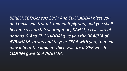BERESHEET/Genesis 28:3: And EL-SHADDAI bless you, and make you fruitful, and multiply you, and you shall<sup>'</sup> become a church (congregation, KAHAL, ecclessia) of nations. 4 And EL-SHADDAI give you the BRACHA of **AVRAHAM, to you and to your ZERA with you, that you** may inherit the land in which you are a GER which **ELOHIM** gave to AVRAHAM.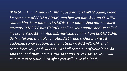*BERESHEET 35:9: And ELOHIM appeared to YAAKOV again, when he came out of PADAN-ARAM, and blessed him.* 10 And ELOHIM *said to him, Your name is YAAKOV. Your name shall not be called* anymore YAAKOV, but YISRAEL shall be your name; and He called *his name YISRAEL.* 11 And ELOHIM said to him, I am EL-SHADDAI. *Be fruitful and multiply; a nation/GOY and a church (KAHAL, ecclessia, congregation)* in the nations/KAHAL/GOYIM, shall *come from you, and MELECHIM shall come out of your loins.* 12 And the land that I gave AVRAHAM and YITZCHAK, to you I will *give it, and to your ZERA after you will I give the land.*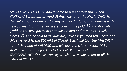*MELECHIM ALEF 11:29: And it came to pass at that time when* YAHRAVAM went out of YAHRUSHALAYIM, that the NAVI ACHIYAH, the Shilonite, met him on the way. And he had prepared himself with a new garment, and the two were alone in the field. 30 And ACHIYAH grabbed the new garment that was on him and tore it into twelve pieces. <sup>31</sup> And he said to YAHRAVAM, Take for yourself ten pieces. For this says YHWH, the ELOHIM of Yisrael, See, I will tear the MALCHUT out of the hand of SHLOMO and will give ten tribes to you. <sup>32</sup> But he shall have one tribe for My EVED DAWID'S sake and for YAHRUSHALAYIM'S sake, the city which I have chosen out of all the *tribes of YISRAEL.*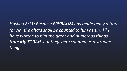*Hoshea 8:11: Because EPHRAYIM has made many altars for sin, the altars shall be counted to him as sin. 12 I have written to him the great and numerous things from My TORAH, but they were counted as a strange thing.*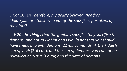*1* Cor 10: 14 *Therefore, my dearly beloved, flee from*  the altar?

*....V.20 .the things that the gen+les sacrifice they sacrifice to*  demons, and not to Elohim and I would not that you should have friendship with demons. 21You cannot drink the kiddish cup of vuvh (3rd cup), and the cup of demons: you cannot be *partakers of YHWH's altar, and the altar of demons*. 

## *idolatry......are those who eat of the sacrifices partakers of*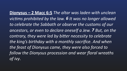**Dionysus - 2 Macc 6:5** *The altar was laden with unclean victims* prohibited by the law. 6 It was no longer allowed to celebrate the Sabbath or observe the customs of our *ancestors, or even to declare oneself a Jew. 7 But, on the*  contrary, they were led by bitter necessity to celebrate the king's birthday with a monthly sacrifice. And when the feast of Dionysus came, they were also forced to follow the Dionysus procession and wear floral wreaths of ivy.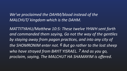### We've proclaimed the DAHM/blood instead of the *MALCHUT/* kingdom which is the DAHM.

*MATTITYAHU/Matthew 10:5: These twelve YHWH sent forth* and commanded them saying, Go not the way of the gentiles by staying away from pagan practices, and into any city of the SHOMRONIM enter not. 6 But go rather to the lost sheep *who have strayed from BAYIT YISRAEL. 7 And as you go, proclaim, saying, The MALCHUT HA SHAMAYIM is offered.*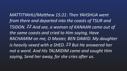*MATTITYAHU/Matthew 15:21: Then YAHSHUA went from there and departed into the coasts of TSUR and TSIDON. 22 And see, a woman of KANAAN came out of*  the same coasts and cried to Him saying, Have *RACHAMIM on me, O Master, BEN DAWID. My daughter is* heavily vexed with a SHED. 23 But He answered her not a word. And His TALMIDIM came and sought Him saying, Send her away, for she cries after us.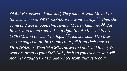*24 But He answered and said, They did not send Me but to*  the lost sheep of BAYIT YISRAEL who went astray. 25 Then she *came and worshipped Him saying, Master, help me. 26 But* He answered and said, It is not right to take the children's LECHEM, and to cast it to dogs. 27 And she said, EMET, sir; yet the dogs eat of the crumbs that fall from their masters' *SHULCHAN. 28 Then YAHSHUA answered and said to her, O woman, great is your EMUNAH; be it to you even as you will.* And her daughter was made whole from that very hour.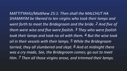*MATTITYAHU/Matthew 25:1: Then shall the MALCHUT HA* SHAMAYIM be likened to ten virgins who took their lamps and went forth to meet the Bridegroom and the bride. 2 And five of *them* were wise and five were foolish. 3 They who were foolish took their lamps and took no oil with them.<sup>4</sup> But the wise took oil in their vessels with their lamps. 5 While the Bridegroom tarried, they all slumbered and slept. 6 And at midnight there was a cry made, See, the Bridegroom comes; go out to meet *Him. 7 Then all those virgins arose, and trimmed their lamps.*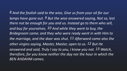**8** And the foolish said to the wise, Give us from your oil for our *lamps have gone out.* 9 But the wise answered saying, Not so, lest there not be enough for you and us. Instead go to them who sell, and buy for yourselves. 10 And while they went to buy, the *Bridegroom came; and they who were ready went in with Him to*  the marriage, and the door was shut. 11 Afterward came also the other virgins saying, Master, Master, open to us. 12 But He answered and said, Truly I say to you, I know you not. 13 Watch, therefore, for you know neither the day nor the hour in which the *BEN AHDAHM comes.*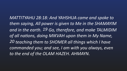*MATTITYAHU 28:18: And YAHSHUA came and spoke to*  them saying, All power is given to Me in the SHAMAYIM and in the earth. 19 Go, therefore, and make TALMIDIM of all nations, doing MIKVAH upon them in My Name, *20 teaching them to SHOMER all things which I have*  commanded you; and see, I am with you always, even *to the end of the OLAM HAZEH. AHMAYN.*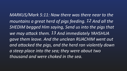MARKUS/Mark 5:11: Now there was there near to the mountains a great herd of pigs feeding. 12 And all the SHEDIM begged Him saying, Send us into the pigs that *we may attack them. 13 And immediately YAHSHUA* gave them leave. And the unclean RUACHIM went out and attacked the pigs, and the herd ran violently down *a steep place into the sea; they were about two thousand and were choked in the sea.*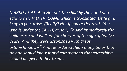MARKUS 5:41: And He took the child by the hand and said to her, TALITHA CUMI; which is translated, Little girl, *I say to you, arise. (Really? Not if you're Hebrew! "You who is under the TALLIT, arise.")* 42 And immediately the *child arose and walked, for she was of the age of twelve years. And they were astonished with great*  astonishment. 43 And He ordered them many times that *no one should know it and commanded that something should be given to her to eat.*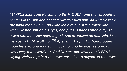*MARKUS 8:22: And He came to BETH-SAIDA, and they brought a blind man to Him and begged Him to touch him. 23 And He took* the blind man by the hand and led him out of the town; and when He had spit on his eyes, and put His hands upon him, He asked him if he saw anything. 24 And he looked up and said, I see *men as EYTZIM, walking.* 25 After that He put His hands again upon his eyes and made him look up; and he was restored and saw every man clearly. 26 And He sent him away to his BAYIT *saying, Neither go into the town nor tell it to anyone in the town.*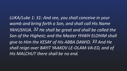LUKA/Luke 1: 31: And see, you shall conceive in your *womb and bring forth a Son, and shall call His Name*  YAHUSHUA. 32 He shall be great and shall be called the Son of the Highest; and the Master YHWH ELOHIM shall *give to Him the KESAY of His ABBA DAWID.* 33 And He *shall reign over BAYIT YAAKOV LE-OLAM-VA-ED, and of* His MALCHUT there shall be no end.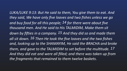LUKA/LUKE 9:13: But He said to them, You give them to eat. And they said, We have only five loaves and two fishes unless we go and buy food for all this people; 14 for there were about five thousand men. And He said to His TALMIDIM, Make them sit *down by fifties in a company.* 15 And they did so and made them all sit down. 16 Then He took the five loaves and the two fishes and, looking up to the SHAMAYIM, He said the BRACHA and broke *them, and gave to the TALMIDIM to set before the multitude.* 17 And they did eat and were all filled; and there was taken up from the fragments that remained to them twelve baskets.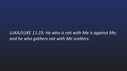LUKA/LUKE 11:23: He who is not with Me is against Me; and he who gathers not with Me scatters.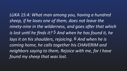*LUKA 15:4: What man among you, having a hundred*  sheep, if he loses one of them, does not leave the ninety-nine in the wilderness, and goes after that which *is lost un+l he finds it? 5 And when he has found it, he lays it on his shoulders, rejoicing.* 6 And when he is coming home, he calls together his CHAVERIM and neighbors saying to them, Rejoice with me, for I have *found my sheep that was lost.*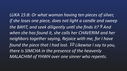*LUKA 15:8: Or what woman having ten pieces of silver, if* she loses one piece, does not light a candle and sweep the BAYIT, and seek diligently until she finds it? 9 And when she has found it, she calls her CHAVERIM and her neighbors together saying, Rejoice with me, for I have *found the piece that I had lost.* 10 Likewise I say to you, there is SIMCHA in the presence of the heavenly *MALACHIM of YHWH over one sinner who repents.*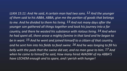*LUKA 15:11: And He said, A certain man had two sons. 12 And the younger*  of them said to his ABBA, ABBA, give me the portion of goods that belongs to me. And he divided to them his living. 13 And not many days after the younger son gathered all things together and took his journey into a far *country, and there he wasted his substance with riotous living.* 14 And when *he had spent all, there arose a mighty famine in that land and he began to be in want.* 15 And he went and joined himself to a citizen of that country, and he sent him into his fields to feed swine. <sup>16</sup> And he was longing to fill his *belly* with the pods that the swine did eat, and no man gave to him. 17 And when he came to himself he said, How many hired AVADIM of my ABBA'S *have LECHEM enough and to spare, and I perish with hunger!*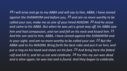18 I will arise and go to my ABBA and will say to him, ABBA, I have sinned against the SHAMAYIM and before you, <sup>19</sup> and am no more worthy to be called your son; make me as one of your hired AVADIM. 20 And he arose and came to his ABBA. But when he was yet a great way off, his ABBA saw<sup>1</sup> *him* and had compassion, and ran and fell on his neck and kissed him. 21 And the son said to him, ABBA, I have sinned against the SHAMAYIM and *in* your sight, and am no more worthy to be called your son. 22 But the ABBA said to his AVADIM, Bring forth the best robe and put it on him; and put a ring on his hand and shoes on his feet. 23 And bring here the fatted *calf and kill it; and let us eat and celebrate.* 24 For this my son was dead and is alive again; he was lost and is found. And they began to celebrate.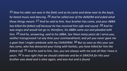25 Now his elder son was in the field; and as he came and drew near to the bayit, *he heard music and dancing.* 26 And he called one of the AVADIM and asked what *these things meant.* 27 And he said to him, Your brother has come, and your ABBA has killed the fatted calf because he has received him safe and sound. 28 And he was angry and would not go in; therefore, his ABBA came out and pleaded with *him.* 29 And he, answering, said to his ABBA, See these many years do I serve you, neither transgressed I at any time your commandment; and yet you never gave me *a* goat that I might celebrate with my CHAVERIM. <sup>30</sup> But as soon as this your son has come, who has devoured your living with harlots, you have killed for him the *fatted calf.* 31 And he said to him, Son, you are always with me and all that I have is *yours.* 32 It was right that we should celebrate and be in SIMCHA for this your brother was dead and is alive again, and was lost and is found.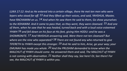*LUKA 17:12: And as He entered into a certain village, there He met ten men who were* 

*lepers who stood far off.*  $13$  *And they lifted up their voices, and said, YAHSHUA, Master, have RACHAMIM on us.* 14 And when He saw them He said to them, Go show yourselves *to the KOHANIM. And it came to pass that, as they went, they were cleansed.* 15 And one of them, when he saw that he was healed, turned back and with a loud voice esteemed *YHWH* 16 and fell down on his face at His feet, giving Him HODU: and he was a SHOMRONITE. 17 And YAHSHUA answering said, Were there not ten cleansed? But where are the nine who separated?  $18$  There are not found any who returned to give *TIFERETH to YHWH except this stranger.* 19 And He said to him, Arise, go your way; your EMUNAH has made you whole. 20 And the PRUSHIM demanded to know when the MALCHUT of YHWH should come. He answered them and said, The MALCHUT of YHWH *is not coming with observation.* 21 Neither shall they say, See here! Or, See there! For see, the MALCHUT of YHWH is within you.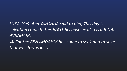*LUKA 19:9: And YAHSHUA said to him, This day is salvation come to this BAYIT because he also is a B'NAI AVRAHAM.*

*10 For the BEN AHDAHM has come to seek and to save that which was lost.*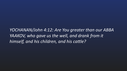YOCHANAN/John 4:12: Are You greater than our ABBA *YAAKOV, who gave us the well, and drank from it himself, and his children, and his cattle?*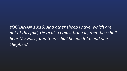*YOCHANAN 10:16: And other sheep I have, which are*  not of this fold, them also I must bring in, and they shall hear My voice; and there shall be one fold, and one *Shepherd.*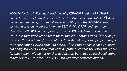*YOCHANAN 11:47: Then gathered the chief KOHANIM and the PRUSHIM a Sanhedrin and said, What do we do?* For this Man does many NISIM. 48 If we *just leave Him alone, all men will believe on Him, and the ROMAYIM shall come and take away our position, our BEIT HAMIKDASH, and our nation (Jewish Israel).* 49 And one of them, named QAYAPHA, being the KOHEN *HAGADOL* that same year, said to them, You know nothing at all, <sup>50</sup> nor do you *consider that it is better for us that one Man should die for the people than for the entire nation (Jewish Israel) to perish.* 51 And this he spoke not by himself, but being KOHEN HAGADOL that year, he prophesied that YAHSHUA should die *for that nation;* 52 And not for that nation only, but that also He should gather together into ECHAD the B'NAI ELOHEIM who were scattered abroad.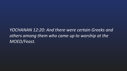### others among them who came up to worship at the *MOED/Feast.*

YOCHANAN 12:20: And there were certain Greeks and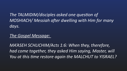The TALMIDIM/disciples asked one question of MOSHIACH/ Messiah after dwelling with Him for many *days.* 

*MA'ASEH SCHLICHIM/Acts 1:6: When they, therefore, had* come together, they asked Him saying, Master, will *You at this time restore again the MALCHUT to YISRAEL?* 

#### *The Gospel Message:*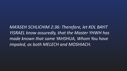*MA'ASEH SCHLICHIM 2:36: Therefore, let KOL BAYIT YISRAEL know assuredly, that the Master YHWH has*  made known that same YAHSHUA, Whom You have *impaled, as both MELECH and MOSHIACH.*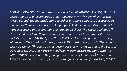*MA'ASEH SHLICHIM 2:5: And there were dwelling at YAHRUSHALAYIM, YAHUDIM,*  devout men, out of every nation under the SHAMAYIM. 6 Now when this was noised abroad, the multitude came together and were confused, because every man heard them speak in his own language. <sup>7</sup> And they were all amazed and *marveled saying one to another, See, are not all these who speak Galileans?* 8 *How then do we hear them speaking in our own native language?* 9 Parthians, and Medes, and EYLAMITES, and those YISRAELITES dwelling in Aram, among *whom were YAHUDIM, and those from KAPPADOKIA, those from PONTOS, and*  also Asia Minor, <sup>10</sup> PHRYGIA, and PAMPHULIA, in MITZRAYIM and in the parts of Libya near Cyrene, and YAHUDIM and GERIM from ROMIYAH, along with the *YIREH-YHWH, (What were they doing at the Feasts of YHWH?)* 11 Cretes and Arabians, we do hear them speak in our tongues the wonderful works of YHWH.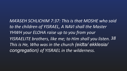*MA'ASEH SCHLICHIM 7:37: This is that MOSHE who said* to the children of YISRAEL, A NAVI shall the Master YHWH your ELOHA raise up to you from your *YISRAELITE* brothers, like me; to Him shall you listen. 38 *This is He, Who was in the church (eidta/ ekklesia/ congregation) of YISRAEL in the wilderness.*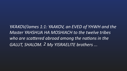YA'AKOV/James 1:1: YAAKOV, an EVED of YHWH and the Master YAHSHUA HA MOSHIACH to the twelve tribes who are scattered abroad among the nations in the GALUT, SHALOM. 2 My YISRAELITE brothers ...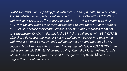*IVRIM/Hebrews 8:8: For finding fault with them He says, Behold, the days come,* 

says the Master YHWH, when I will make a BRIT CHADASHA with BEIT YISRAEL and with BEIT YAHUDAH. <sup>9</sup> Not according to the BRIT that I made with their AHVOT in the day when I took them by the hand to lead them out of the land of *MITZRAYIM;* because they continued not in My BRIT, and I regarded them not, says the Master YHWH. 10 For this is the BRIT that I will make with BEIT YISRAEL *after those days, says the Master YHWH; I will put My TORAH into their mind* and write it on their LEVAVOT, and I will be their ELOHA and they shall be My *people-AMI.* 11 And they shall not teach every man his fellow YISRAELITE citizen and every man his YISRAELITE brother saying, Know the Master YHWH, for KOL *YISRAEL* shall know Me, from the least to the greatest of them. 12 For I will forgive their unrighteousness.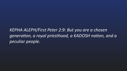*KEPHA ALEPH/First Peter 2:9: But you are a chosen generation, a royal priesthood, a KADOSH nation, and a peculiar people.*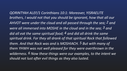*QORINTYAH ALEF/1 Corinthians 10:1: Moreover, YISRAELITE*  brothers, I would not that you should be ignorant, how that all our *AHVOT* were under the cloud and all passed through the sea; 2 and *were all immersed into MOSHE in the cloud and in the sea;* 3 and did all eat the same spiritual food; 4 and did all drink the same spiritual drink. For they all drank of that spiritual Rock that followed them. And that Rock was and is MOSHIACH. 5 But with many of **them YHWH was not well pleased for they were overthrown in the** *wilderness.* 6 Now these things were our examples, to the intent we should not lust after evil things as they also lusted.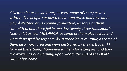*7 Neither let us be idolaters, as were some of them; as it is play.* 8 Neither let us commit fornication, as some of them *Now all these things happened to them for examples; and they are written as our warning, upon whom the end of the OLAM HAZEH has come.*

- written, The people sat down to eat and drink, and rose up to
- *committed, and there fell in one day twenty-three thousand.* 9 *Neither let us test MOSHIACH, as some of them also tested and*
- *were destroyed by serpents.* 10 Neither let us murmur, as some of
- them also murmured and were destroyed by the destroyer. 11
	-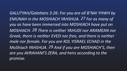*GALUTYAH/Galatians 3:26: For you are all B'NAI YHWH by* EMUNAH in the MOSHIACH YAHSHUA. 27 For as many of *you as have been immersed into MOSHIACH have put on*  MOSHIACH. 28 There is neither YAHUDI nor ARAMEAN nor **Greek, there is neither EVED nor free, and there is neither** male nor female. For you are KOL YISRAEL ECHAD in the *MoShiach YAHSHUA.* 29 And if you are MOSHIACH'S, then are you AVRAHAM'S ZERA, and heirs according to the *promise.*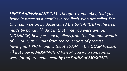EPHSIYAH/EPHESIANS 2:11: Therefore remember, that you being in times past gentiles in the flesh, who are called The Uncircum- cision by those called the BRIT-MILAH in the flesh made by hands, 12 that at that time you were without MOSHIACH, being excluded, aliens from the Commonwealth of YISRAEL, as GERIM from the covenants of promise, *having no TIKVAH, and without ELOHA in the OLAM HAZEH.* 13 But now in MOSHIACH YAHSHUA you who sometimes *were far off are made near by the DAHM of MOSHIACH.*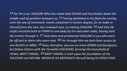14 For He is our SHALOM Who has made both ECHAD and has broken down the *middle* wall of partition between us; <sup>15</sup> having abolished in His flesh the enmity, even the law of command- ments contained in human dogma; for to make in Himself from the two, one renewed man, so making SHALOM. <sup>16</sup> And that He *might reconcile both to YHWH* in one body by the execution stake, having slain *the enmity through it.* 17 And came and proclaimed SHALOM to you who were *far* off and to them who were near.  $18$  For through Him we both have access by  $'$ one RUACH to ABBA. <sup>19</sup> Now, therefore, you are no more GERIM and foreigners, but fellow citizens with the Yisraelite KIDUSHIM, forming the household of YHWH, BAYIT YISRAEL. 20 BAYIT YISRAEL is built upon the foundation of the SHLICHIM and NEVIIM, YAHSHUA HA MOSHIACH Himself being the ROSH PINA.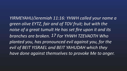*YIRMEYAHU/Jeremiah 11:16: YHWH called your name a green olive EYTZ, fair and of TOV fruit; but with the* noise of a great tumult He has set fire upon it and its **branches are broken. 17 For YHWH TZEVAOTH Who** planted you, has pronounced evil against you, for the *evil of BEIT YISRAEL and BEIT YAHUDAH which they have done against themselves to provoke Me to anger.*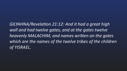GILYAHNA/Revelation 21:12: And it had a great high wall and had twelve gates, and at the gates twelve heavenly MALACHIM, and names written on the gates which are the names of the twelve tribes of the children *of YISRAEL.*